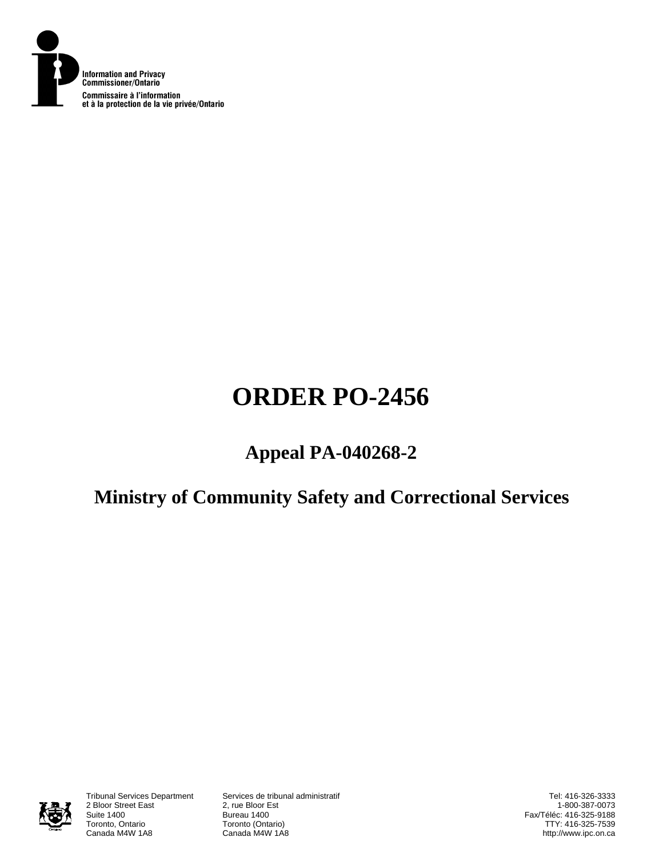

# **ORDER PO-2456**

# **Appeal PA-040268-2**

# **Ministry of Community Safety and Correctional Services**



2 Bloor Street East<br>Suite 1400 Suite 1400<br>Toronto, Ontario **Bureau 1400**<br>Toronto (Onta Toronto, Ontario **Toronto (Ontario)**<br>Canada M4W 1A8 **Canada M4W 1A8** 

Tribunal Services Department Services de tribunal administratif Canada M4W 1A8

Tel: 416-326-3333 1-800-387-0073 Fax/Téléc: 416-325-9188 TTY: 416-325-7539 http://www.ipc.on.ca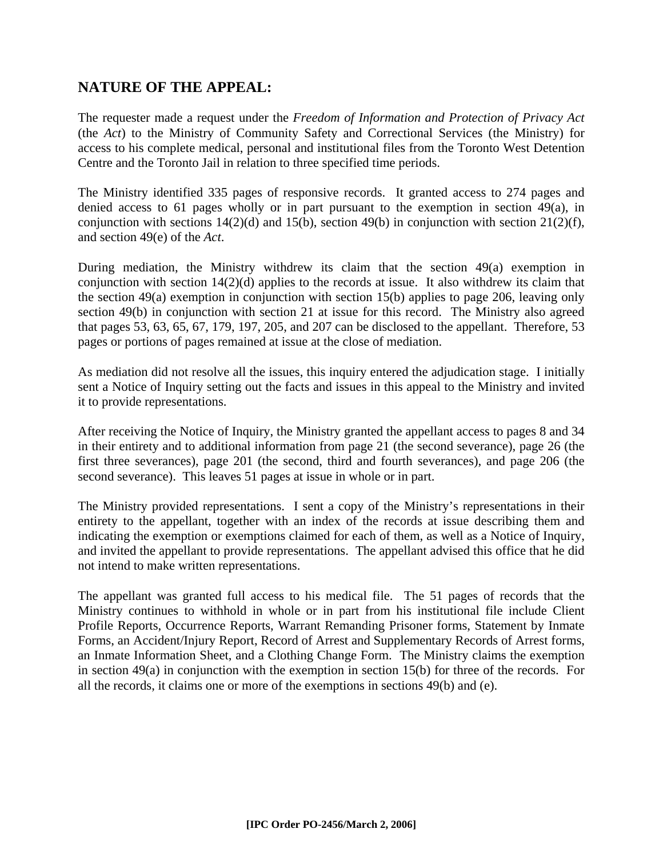# **NATURE OF THE APPEAL:**

The requester made a request under the *Freedom of Information and Protection of Privacy Act* (the *Act*) to the Ministry of Community Safety and Correctional Services (the Ministry) for access to his complete medical, personal and institutional files from the Toronto West Detention Centre and the Toronto Jail in relation to three specified time periods.

The Ministry identified 335 pages of responsive records. It granted access to 274 pages and denied access to 61 pages wholly or in part pursuant to the exemption in section 49(a), in conjunction with sections  $14(2)(d)$  and  $15(b)$ , section  $49(b)$  in conjunction with section  $21(2)(f)$ , and section 49(e) of the *Act*.

During mediation, the Ministry withdrew its claim that the section 49(a) exemption in conjunction with section 14(2)(d) applies to the records at issue. It also withdrew its claim that the section 49(a) exemption in conjunction with section 15(b) applies to page 206, leaving only section 49(b) in conjunction with section 21 at issue for this record. The Ministry also agreed that pages 53, 63, 65, 67, 179, 197, 205, and 207 can be disclosed to the appellant. Therefore, 53 pages or portions of pages remained at issue at the close of mediation.

As mediation did not resolve all the issues, this inquiry entered the adjudication stage. I initially sent a Notice of Inquiry setting out the facts and issues in this appeal to the Ministry and invited it to provide representations.

After receiving the Notice of Inquiry, the Ministry granted the appellant access to pages 8 and 34 in their entirety and to additional information from page 21 (the second severance), page 26 (the first three severances), page 201 (the second, third and fourth severances), and page 206 (the second severance). This leaves 51 pages at issue in whole or in part.

The Ministry provided representations. I sent a copy of the Ministry's representations in their entirety to the appellant, together with an index of the records at issue describing them and indicating the exemption or exemptions claimed for each of them, as well as a Notice of Inquiry, and invited the appellant to provide representations. The appellant advised this office that he did not intend to make written representations.

The appellant was granted full access to his medical file. The 51 pages of records that the Ministry continues to withhold in whole or in part from his institutional file include Client Profile Reports, Occurrence Reports, Warrant Remanding Prisoner forms, Statement by Inmate Forms, an Accident/Injury Report, Record of Arrest and Supplementary Records of Arrest forms, an Inmate Information Sheet, and a Clothing Change Form. The Ministry claims the exemption in section 49(a) in conjunction with the exemption in section 15(b) for three of the records. For all the records, it claims one or more of the exemptions in sections 49(b) and (e).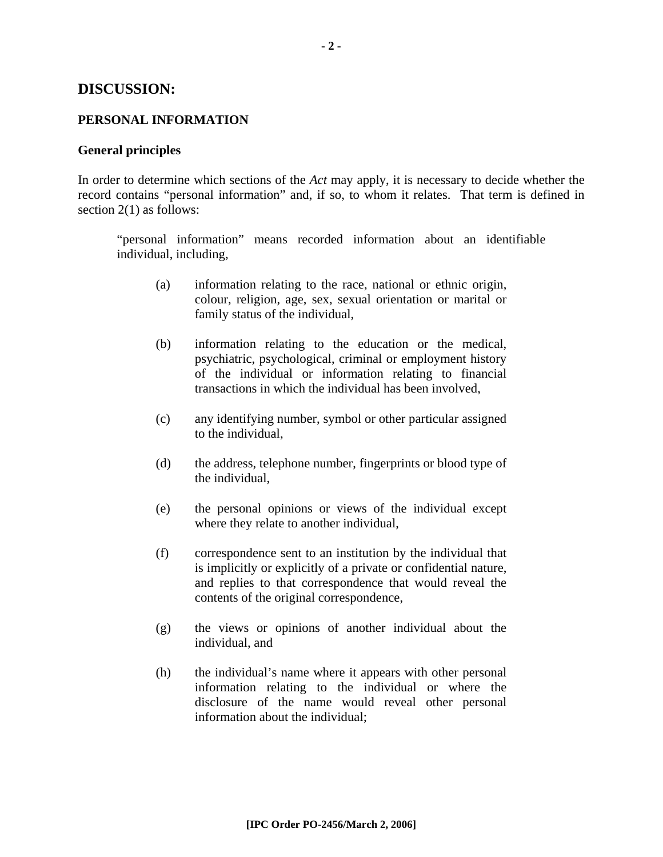#### **DISCUSSION:**

#### **PERSONAL INFORMATION**

#### **General principles**

In order to determine which sections of the *Act* may apply, it is necessary to decide whether the record contains "personal information" and, if so, to whom it relates. That term is defined in section 2(1) as follows:

"personal information" means recorded information about an identifiable individual, including,

- (a) information relating to the race, national or ethnic origin, colour, religion, age, sex, sexual orientation or marital or family status of the individual,
- (b) information relating to the education or the medical, psychiatric, psychological, criminal or employment history of the individual or information relating to financial transactions in which the individual has been involved,
- (c) any identifying number, symbol or other particular assigned to the individual,
- (d) the address, telephone number, fingerprints or blood type of the individual,
- (e) the personal opinions or views of the individual except where they relate to another individual,
- (f) correspondence sent to an institution by the individual that is implicitly or explicitly of a private or confidential nature, and replies to that correspondence that would reveal the contents of the original correspondence,
- (g) the views or opinions of another individual about the individual, and
- (h) the individual's name where it appears with other personal information relating to the individual or where the disclosure of the name would reveal other personal information about the individual;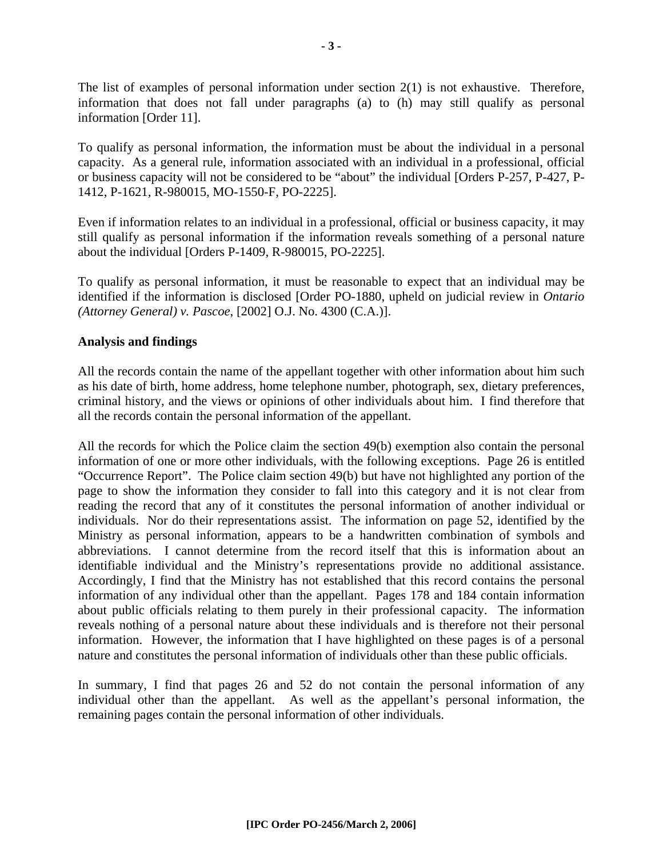The list of examples of personal information under section 2(1) is not exhaustive. Therefore, information that does not fall under paragraphs (a) to (h) may still qualify as personal information [Order 11].

To qualify as personal information, the information must be about the individual in a personal capacity. As a general rule, information associated with an individual in a professional, official or business capacity will not be considered to be "about" the individual [Orders P-257, P-427, P-1412, P-1621, R-980015, MO-1550-F, PO-2225].

Even if information relates to an individual in a professional, official or business capacity, it may still qualify as personal information if the information reveals something of a personal nature about the individual [Orders P-1409, R-980015, PO-2225].

To qualify as personal information, it must be reasonable to expect that an individual may be identified if the information is disclosed [Order PO-1880, upheld on judicial review in *Ontario (Attorney General) v. Pascoe*, [2002] O.J. No. 4300 (C.A.)].

## **Analysis and findings**

All the records contain the name of the appellant together with other information about him such as his date of birth, home address, home telephone number, photograph, sex, dietary preferences, criminal history, and the views or opinions of other individuals about him. I find therefore that all the records contain the personal information of the appellant.

All the records for which the Police claim the section 49(b) exemption also contain the personal information of one or more other individuals, with the following exceptions. Page 26 is entitled "Occurrence Report". The Police claim section 49(b) but have not highlighted any portion of the page to show the information they consider to fall into this category and it is not clear from reading the record that any of it constitutes the personal information of another individual or individuals. Nor do their representations assist. The information on page 52, identified by the Ministry as personal information, appears to be a handwritten combination of symbols and abbreviations. I cannot determine from the record itself that this is information about an identifiable individual and the Ministry's representations provide no additional assistance. Accordingly, I find that the Ministry has not established that this record contains the personal information of any individual other than the appellant. Pages 178 and 184 contain information about public officials relating to them purely in their professional capacity. The information reveals nothing of a personal nature about these individuals and is therefore not their personal information. However, the information that I have highlighted on these pages is of a personal nature and constitutes the personal information of individuals other than these public officials.

In summary, I find that pages 26 and 52 do not contain the personal information of any individual other than the appellant. As well as the appellant's personal information, the remaining pages contain the personal information of other individuals.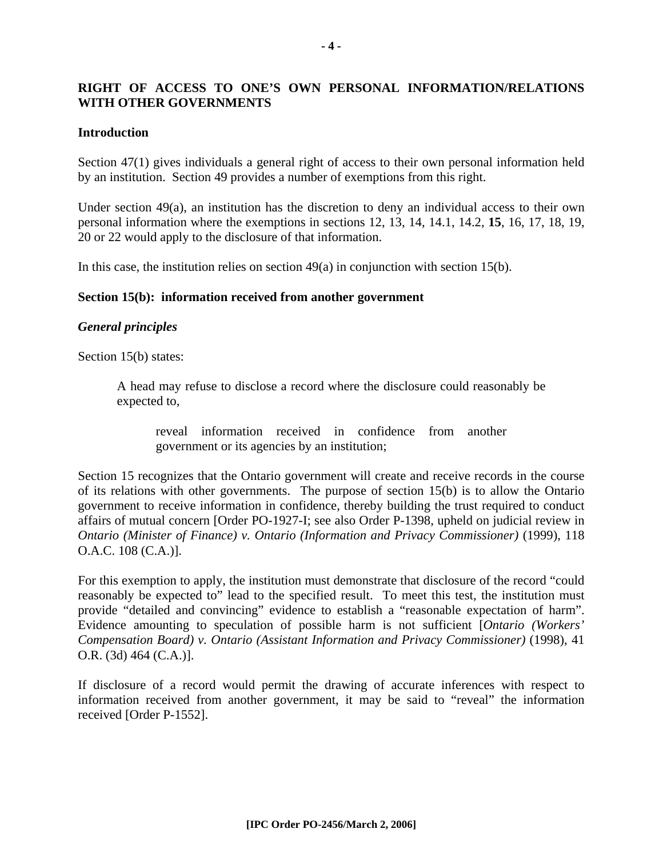# **RIGHT OF ACCESS TO ONE'S OWN PERSONAL INFORMATION/RELATIONS WITH OTHER GOVERNMENTS**

#### **Introduction**

Section 47(1) gives individuals a general right of access to their own personal information held by an institution. Section 49 provides a number of exemptions from this right.

Under section 49(a), an institution has the discretion to deny an individual access to their own personal information where the exemptions in sections 12, 13, 14, 14.1, 14.2, **15**, 16, 17, 18, 19, 20 or 22 would apply to the disclosure of that information.

In this case, the institution relies on section 49(a) in conjunction with section 15(b).

#### **Section 15(b): information received from another government**

#### *General principles*

Section 15(b) states:

A head may refuse to disclose a record where the disclosure could reasonably be expected to,

reveal information received in confidence from another government or its agencies by an institution;

Section 15 recognizes that the Ontario government will create and receive records in the course of its relations with other governments. The purpose of section 15(b) is to allow the Ontario government to receive information in confidence, thereby building the trust required to conduct affairs of mutual concern [Order PO-1927-I; see also Order P-1398, upheld on judicial review in *Ontario (Minister of Finance) v. Ontario (Information and Privacy Commissioner)* (1999), 118 O.A.C. 108 (C.A.)].

For this exemption to apply, the institution must demonstrate that disclosure of the record "could reasonably be expected to" lead to the specified result. To meet this test, the institution must provide "detailed and convincing" evidence to establish a "reasonable expectation of harm". Evidence amounting to speculation of possible harm is not sufficient [*Ontario (Workers' Compensation Board) v. Ontario (Assistant Information and Privacy Commissioner)* (1998), 41 O.R. (3d) 464 (C.A.)].

If disclosure of a record would permit the drawing of accurate inferences with respect to information received from another government, it may be said to "reveal" the information received [Order P-1552].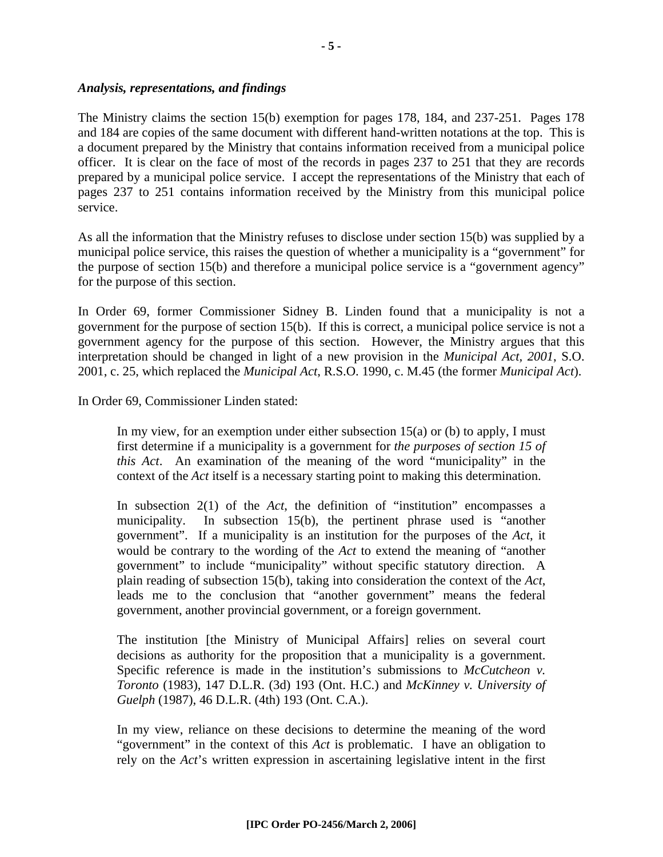#### *Analysis, representations, and findings*

The Ministry claims the section 15(b) exemption for pages 178, 184, and 237-251. Pages 178 and 184 are copies of the same document with different hand-written notations at the top. This is a document prepared by the Ministry that contains information received from a municipal police officer. It is clear on the face of most of the records in pages 237 to 251 that they are records prepared by a municipal police service. I accept the representations of the Ministry that each of pages 237 to 251 contains information received by the Ministry from this municipal police service.

As all the information that the Ministry refuses to disclose under section 15(b) was supplied by a municipal police service, this raises the question of whether a municipality is a "government" for the purpose of section 15(b) and therefore a municipal police service is a "government agency" for the purpose of this section.

In Order 69, former Commissioner Sidney B. Linden found that a municipality is not a government for the purpose of section 15(b). If this is correct, a municipal police service is not a government agency for the purpose of this section. However, the Ministry argues that this interpretation should be changed in light of a new provision in the *Municipal Act, 2001*, S.O. 2001, c. 25, which replaced the *Municipal Act*, R.S.O. 1990, c. M.45 (the former *Municipal Act*).

In Order 69, Commissioner Linden stated:

In my view, for an exemption under either subsection  $15(a)$  or (b) to apply, I must first determine if a municipality is a government for *the purposes of section 15 of this Act*. An examination of the meaning of the word "municipality" in the context of the *Act* itself is a necessary starting point to making this determination.

In subsection 2(1) of the *Act*, the definition of "institution" encompasses a municipality. In subsection 15(b), the pertinent phrase used is "another government". If a municipality is an institution for the purposes of the *Act*, it would be contrary to the wording of the *Act* to extend the meaning of "another government" to include "municipality" without specific statutory direction. A plain reading of subsection 15(b), taking into consideration the context of the *Act*, leads me to the conclusion that "another government" means the federal government, another provincial government, or a foreign government.

The institution [the Ministry of Municipal Affairs] relies on several court decisions as authority for the proposition that a municipality is a government. Specific reference is made in the institution's submissions to *McCutcheon v. Toronto* (1983), 147 D.L.R. (3d) 193 (Ont. H.C.) and *McKinney v. University of Guelph* (1987), 46 D.L.R. (4th) 193 (Ont. C.A.).

In my view, reliance on these decisions to determine the meaning of the word "government" in the context of this *Act* is problematic. I have an obligation to rely on the *Act*'s written expression in ascertaining legislative intent in the first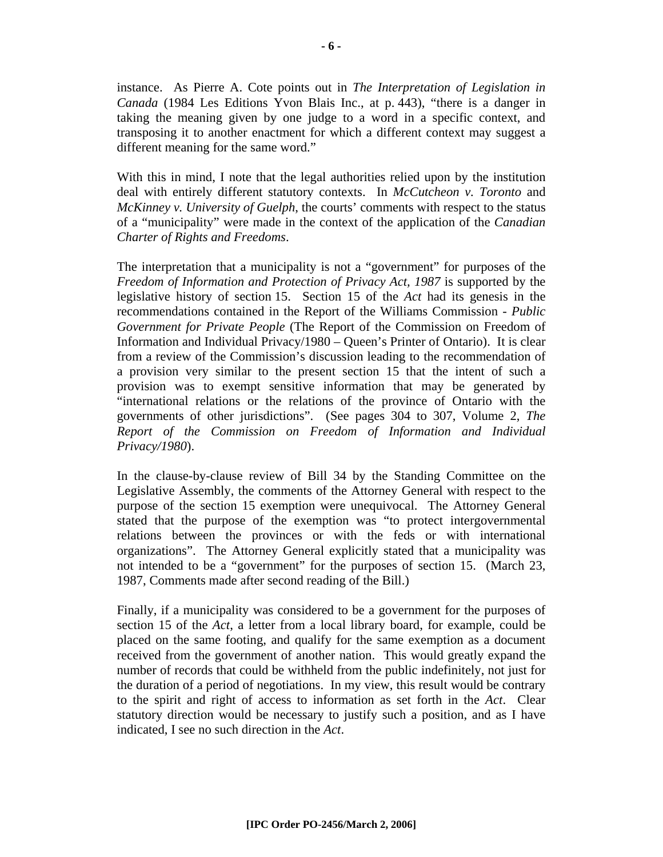instance. As Pierre A. Cote points out in *The Interpretation of Legislation in Canada* (1984 Les Editions Yvon Blais Inc., at p. 443), "there is a danger in taking the meaning given by one judge to a word in a specific context, and transposing it to another enactment for which a different context may suggest a different meaning for the same word."

With this in mind, I note that the legal authorities relied upon by the institution deal with entirely different statutory contexts. In *McCutcheon v. Toronto* and *McKinney v. University of Guelph*, the courts' comments with respect to the status of a "municipality" were made in the context of the application of the *Canadian Charter of Rights and Freedoms*.

The interpretation that a municipality is not a "government" for purposes of the *Freedom of Information and Protection of Privacy Act, 1987* is supported by the legislative history of section 15. Section 15 of the *Act* had its genesis in the recommendations contained in the Report of the Williams Commission - *Public Government for Private People* (The Report of the Commission on Freedom of Information and Individual Privacy/1980 – Queen's Printer of Ontario). It is clear from a review of the Commission's discussion leading to the recommendation of a provision very similar to the present section 15 that the intent of such a provision was to exempt sensitive information that may be generated by "international relations or the relations of the province of Ontario with the governments of other jurisdictions". (See pages 304 to 307, Volume 2, *The Report of the Commission on Freedom of Information and Individual Privacy/1980*).

In the clause-by-clause review of Bill 34 by the Standing Committee on the Legislative Assembly, the comments of the Attorney General with respect to the purpose of the section 15 exemption were unequivocal. The Attorney General stated that the purpose of the exemption was "to protect intergovernmental relations between the provinces or with the feds or with international organizations". The Attorney General explicitly stated that a municipality was not intended to be a "government" for the purposes of section 15. (March 23, 1987, Comments made after second reading of the Bill.)

Finally, if a municipality was considered to be a government for the purposes of section 15 of the *Act*, a letter from a local library board, for example, could be placed on the same footing, and qualify for the same exemption as a document received from the government of another nation. This would greatly expand the number of records that could be withheld from the public indefinitely, not just for the duration of a period of negotiations. In my view, this result would be contrary to the spirit and right of access to information as set forth in the *Act*. Clear statutory direction would be necessary to justify such a position, and as I have indicated, I see no such direction in the *Act*.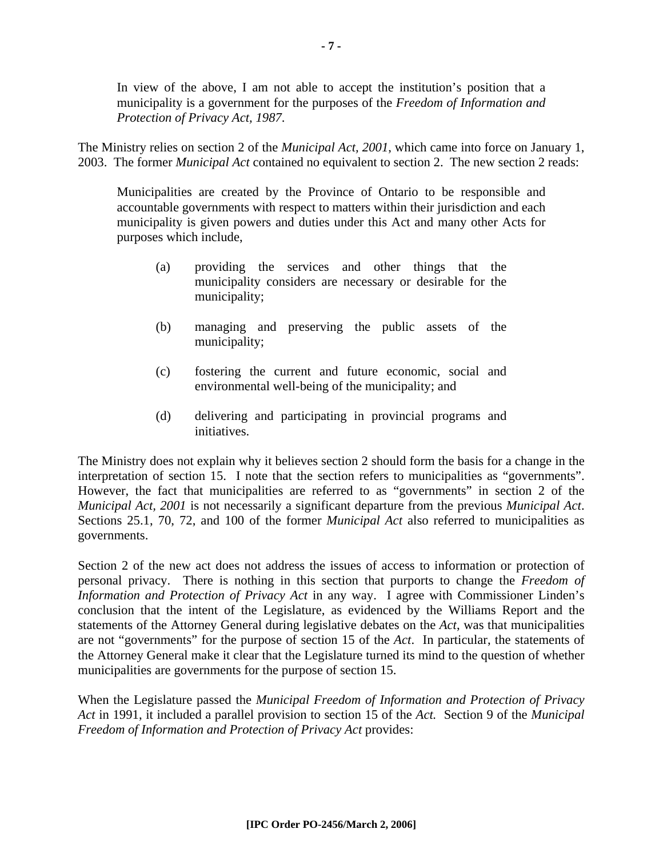In view of the above, I am not able to accept the institution's position that a municipality is a government for the purposes of the *Freedom of Information and Protection of Privacy Act, 1987*.

The Ministry relies on section 2 of the *Municipal Act, 2001*, which came into force on January 1, 2003. The former *Municipal Act* contained no equivalent to section 2. The new section 2 reads:

Municipalities are created by the Province of Ontario to be responsible and accountable governments with respect to matters within their jurisdiction and each municipality is given powers and duties under this Act and many other Acts for purposes which include,

- (a) providing the services and other things that the municipality considers are necessary or desirable for the municipality;
- (b) managing and preserving the public assets of the municipality;
- (c) fostering the current and future economic, social and environmental well-being of the municipality; and
- (d) delivering and participating in provincial programs and initiatives.

The Ministry does not explain why it believes section 2 should form the basis for a change in the interpretation of section 15. I note that the section refers to municipalities as "governments". However, the fact that municipalities are referred to as "governments" in section 2 of the *Municipal Act, 2001* is not necessarily a significant departure from the previous *Municipal Act*. Sections 25.1, 70, 72, and 100 of the former *Municipal Act* also referred to municipalities as governments.

Section 2 of the new act does not address the issues of access to information or protection of personal privacy. There is nothing in this section that purports to change the *Freedom of Information and Protection of Privacy Act* in any way. I agree with Commissioner Linden's conclusion that the intent of the Legislature, as evidenced by the Williams Report and the statements of the Attorney General during legislative debates on the *Act*, was that municipalities are not "governments" for the purpose of section 15 of the *Act*. In particular, the statements of the Attorney General make it clear that the Legislature turned its mind to the question of whether municipalities are governments for the purpose of section 15.

When the Legislature passed the *Municipal Freedom of Information and Protection of Privacy Act* in 1991, it included a parallel provision to section 15 of the *Act.* Section 9 of the *Municipal Freedom of Information and Protection of Privacy Act* provides: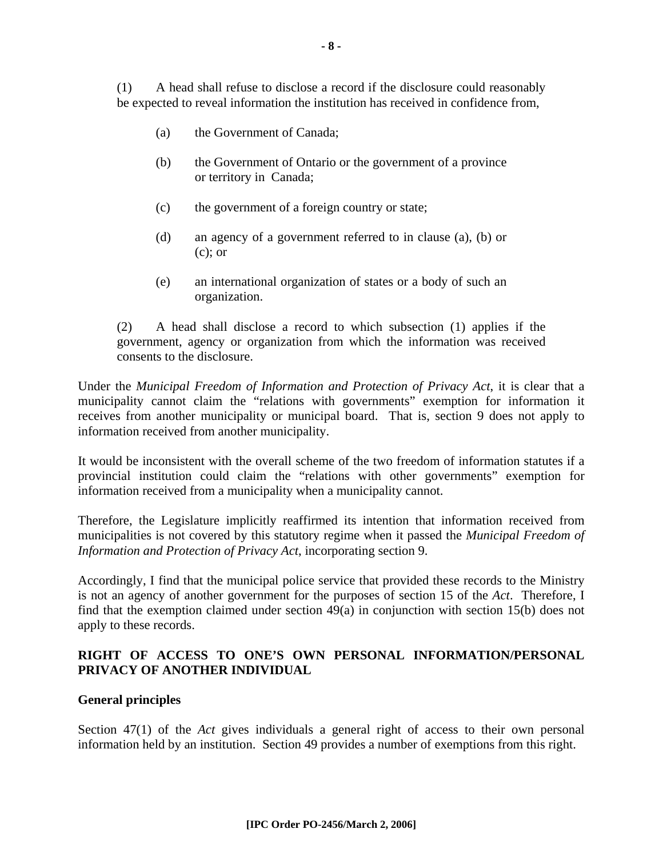(1) A head shall refuse to disclose a record if the disclosure could reasonably be expected to reveal information the institution has received in confidence from,

- (a) the Government of Canada;
- (b) the Government of Ontario or the government of a province or territory in Canada;
- (c) the government of a foreign country or state;
- (d) an agency of a government referred to in clause (a), (b) or (c); or
- (e) an international organization of states or a body of such an organization.

(2) A head shall disclose a record to which subsection (1) applies if the government, agency or organization from which the information was received consents to the disclosure.

Under the *Municipal Freedom of Information and Protection of Privacy Act*, it is clear that a municipality cannot claim the "relations with governments" exemption for information it receives from another municipality or municipal board. That is, section 9 does not apply to information received from another municipality.

It would be inconsistent with the overall scheme of the two freedom of information statutes if a provincial institution could claim the "relations with other governments" exemption for information received from a municipality when a municipality cannot.

Therefore, the Legislature implicitly reaffirmed its intention that information received from municipalities is not covered by this statutory regime when it passed the *Municipal Freedom of Information and Protection of Privacy Act*, incorporating section 9.

Accordingly, I find that the municipal police service that provided these records to the Ministry is not an agency of another government for the purposes of section 15 of the *Act*. Therefore, I find that the exemption claimed under section 49(a) in conjunction with section 15(b) does not apply to these records.

## **RIGHT OF ACCESS TO ONE'S OWN PERSONAL INFORMATION/PERSONAL PRIVACY OF ANOTHER INDIVIDUAL**

#### **General principles**

Section 47(1) of the *Act* gives individuals a general right of access to their own personal information held by an institution. Section 49 provides a number of exemptions from this right.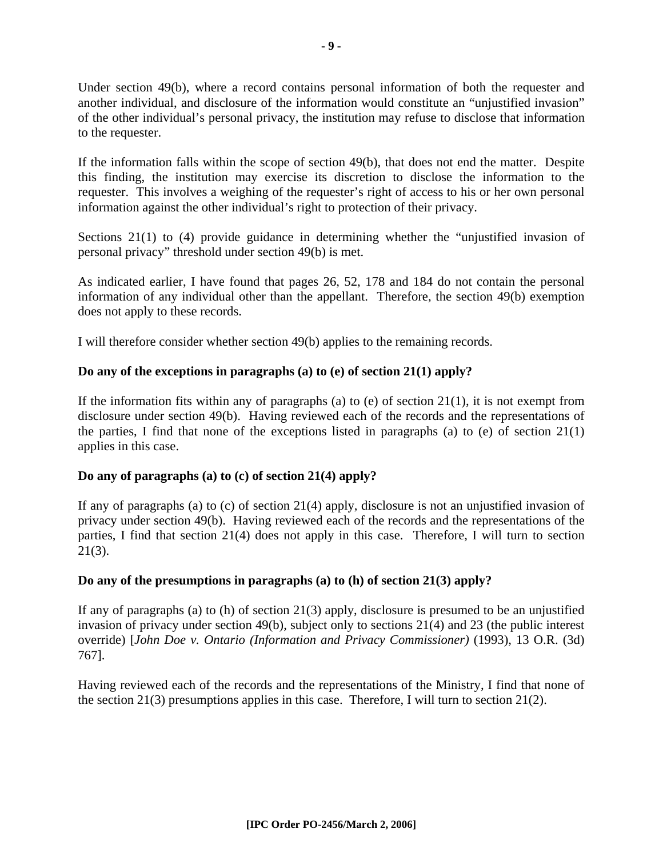Under section 49(b), where a record contains personal information of both the requester and another individual, and disclosure of the information would constitute an "unjustified invasion" of the other individual's personal privacy, the institution may refuse to disclose that information to the requester.

If the information falls within the scope of section 49(b), that does not end the matter. Despite this finding, the institution may exercise its discretion to disclose the information to the requester. This involves a weighing of the requester's right of access to his or her own personal information against the other individual's right to protection of their privacy.

Sections 21(1) to (4) provide guidance in determining whether the "unjustified invasion of personal privacy" threshold under section 49(b) is met.

As indicated earlier, I have found that pages 26, 52, 178 and 184 do not contain the personal information of any individual other than the appellant. Therefore, the section 49(b) exemption does not apply to these records.

I will therefore consider whether section 49(b) applies to the remaining records.

#### **Do any of the exceptions in paragraphs (a) to (e) of section 21(1) apply?**

If the information fits within any of paragraphs (a) to (e) of section  $21(1)$ , it is not exempt from disclosure under section 49(b). Having reviewed each of the records and the representations of the parties, I find that none of the exceptions listed in paragraphs (a) to (e) of section  $21(1)$ applies in this case.

#### **Do any of paragraphs (a) to (c) of section 21(4) apply?**

If any of paragraphs (a) to (c) of section 21(4) apply, disclosure is not an unjustified invasion of privacy under section 49(b). Having reviewed each of the records and the representations of the parties, I find that section 21(4) does not apply in this case. Therefore, I will turn to section  $21(3)$ .

#### **Do any of the presumptions in paragraphs (a) to (h) of section 21(3) apply?**

If any of paragraphs (a) to (h) of section 21(3) apply, disclosure is presumed to be an unjustified invasion of privacy under section 49(b), subject only to sections 21(4) and 23 (the public interest override) [*John Doe v. Ontario (Information and Privacy Commissioner)* (1993), 13 O.R. (3d) 767].

Having reviewed each of the records and the representations of the Ministry, I find that none of the section 21(3) presumptions applies in this case. Therefore, I will turn to section 21(2).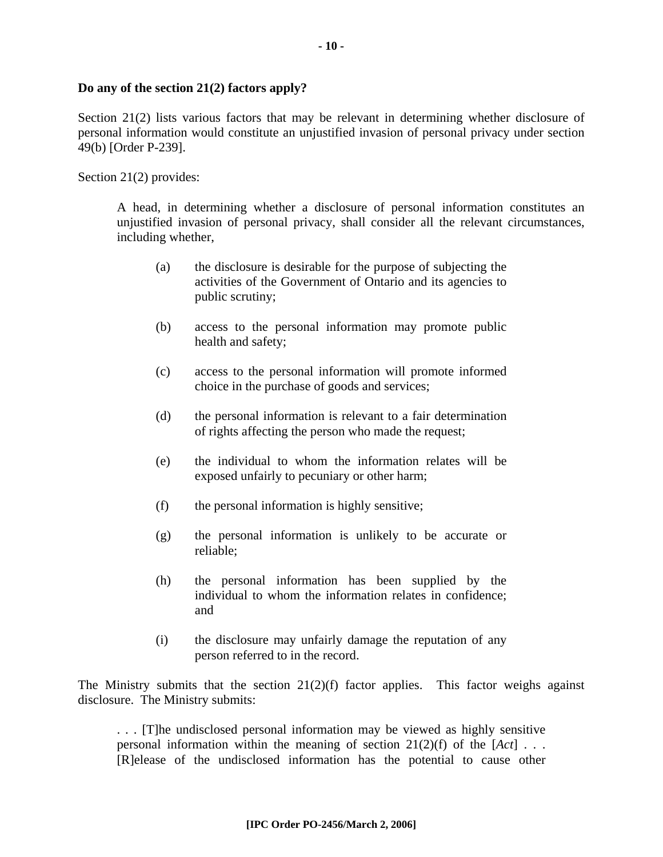#### **Do any of the section 21(2) factors apply?**

Section 21(2) lists various factors that may be relevant in determining whether disclosure of personal information would constitute an unjustified invasion of personal privacy under section 49(b) [Order P-239].

Section 21(2) provides:

A head, in determining whether a disclosure of personal information constitutes an unjustified invasion of personal privacy, shall consider all the relevant circumstances, including whether,

- (a) the disclosure is desirable for the purpose of subjecting the activities of the Government of Ontario and its agencies to public scrutiny;
- (b) access to the personal information may promote public health and safety;
- (c) access to the personal information will promote informed choice in the purchase of goods and services;
- (d) the personal information is relevant to a fair determination of rights affecting the person who made the request;
- (e) the individual to whom the information relates will be exposed unfairly to pecuniary or other harm;
- (f) the personal information is highly sensitive;
- (g) the personal information is unlikely to be accurate or reliable;
- (h) the personal information has been supplied by the individual to whom the information relates in confidence; and
- (i) the disclosure may unfairly damage the reputation of any person referred to in the record.

The Ministry submits that the section  $21(2)(f)$  factor applies. This factor weighs against disclosure. The Ministry submits:

. . . [T]he undisclosed personal information may be viewed as highly sensitive personal information within the meaning of section 21(2)(f) of the [*Act*] . . . [R]elease of the undisclosed information has the potential to cause other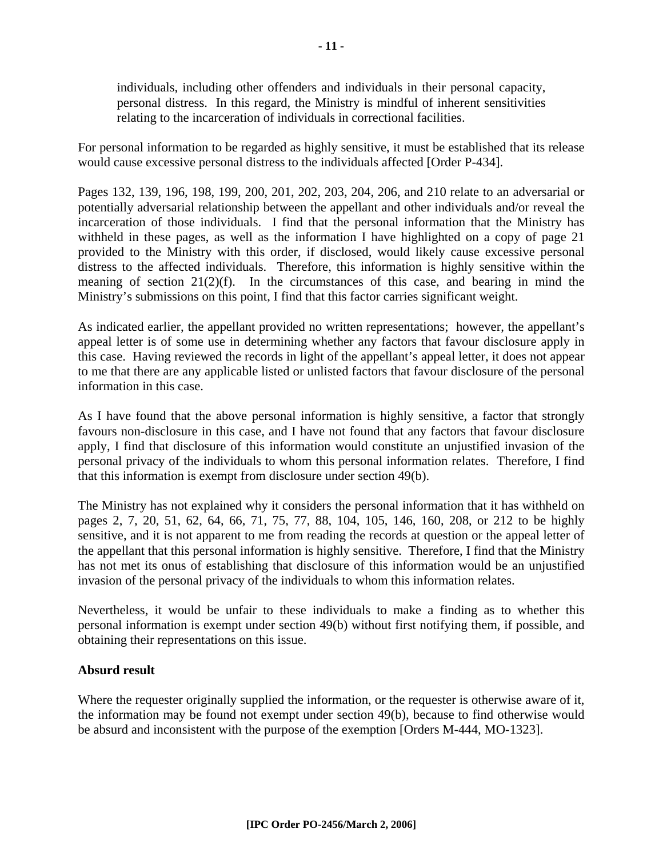individuals, including other offenders and individuals in their personal capacity, personal distress. In this regard, the Ministry is mindful of inherent sensitivities relating to the incarceration of individuals in correctional facilities.

For personal information to be regarded as highly sensitive, it must be established that its release would cause excessive personal distress to the individuals affected [Order P-434].

Pages 132, 139, 196, 198, 199, 200, 201, 202, 203, 204, 206, and 210 relate to an adversarial or potentially adversarial relationship between the appellant and other individuals and/or reveal the incarceration of those individuals. I find that the personal information that the Ministry has withheld in these pages, as well as the information I have highlighted on a copy of page 21 provided to the Ministry with this order, if disclosed, would likely cause excessive personal distress to the affected individuals. Therefore, this information is highly sensitive within the meaning of section 21(2)(f). In the circumstances of this case, and bearing in mind the Ministry's submissions on this point, I find that this factor carries significant weight.

As indicated earlier, the appellant provided no written representations; however, the appellant's appeal letter is of some use in determining whether any factors that favour disclosure apply in this case. Having reviewed the records in light of the appellant's appeal letter, it does not appear to me that there are any applicable listed or unlisted factors that favour disclosure of the personal information in this case.

As I have found that the above personal information is highly sensitive, a factor that strongly favours non-disclosure in this case, and I have not found that any factors that favour disclosure apply, I find that disclosure of this information would constitute an unjustified invasion of the personal privacy of the individuals to whom this personal information relates. Therefore, I find that this information is exempt from disclosure under section 49(b).

The Ministry has not explained why it considers the personal information that it has withheld on pages 2, 7, 20, 51, 62, 64, 66, 71, 75, 77, 88, 104, 105, 146, 160, 208, or 212 to be highly sensitive, and it is not apparent to me from reading the records at question or the appeal letter of the appellant that this personal information is highly sensitive. Therefore, I find that the Ministry has not met its onus of establishing that disclosure of this information would be an unjustified invasion of the personal privacy of the individuals to whom this information relates.

Nevertheless, it would be unfair to these individuals to make a finding as to whether this personal information is exempt under section 49(b) without first notifying them, if possible, and obtaining their representations on this issue.

#### **Absurd result**

Where the requester originally supplied the information, or the requester is otherwise aware of it, the information may be found not exempt under section 49(b), because to find otherwise would be absurd and inconsistent with the purpose of the exemption [Orders M-444, MO-1323].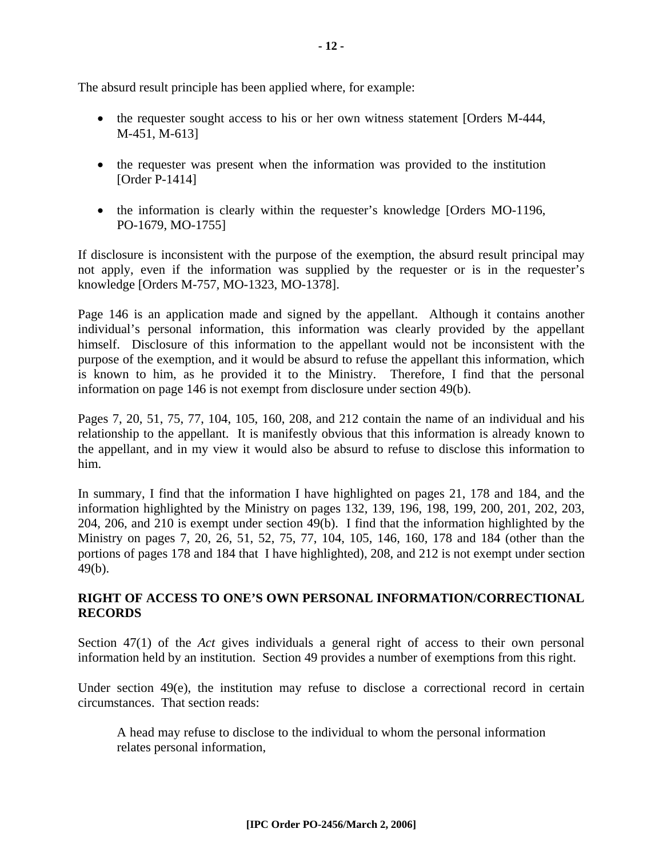The absurd result principle has been applied where, for example:

- the requester sought access to his or her own witness statement [Orders M-444, M-451, M-613]
- the requester was present when the information was provided to the institution [Order P-1414]
- the information is clearly within the requester's knowledge [Orders MO-1196, PO-1679, MO-1755]

If disclosure is inconsistent with the purpose of the exemption, the absurd result principal may not apply, even if the information was supplied by the requester or is in the requester's knowledge [Orders M-757, MO-1323, MO-1378].

Page 146 is an application made and signed by the appellant. Although it contains another individual's personal information, this information was clearly provided by the appellant himself. Disclosure of this information to the appellant would not be inconsistent with the purpose of the exemption, and it would be absurd to refuse the appellant this information, which is known to him, as he provided it to the Ministry. Therefore, I find that the personal information on page 146 is not exempt from disclosure under section 49(b).

Pages 7, 20, 51, 75, 77, 104, 105, 160, 208, and 212 contain the name of an individual and his relationship to the appellant. It is manifestly obvious that this information is already known to the appellant, and in my view it would also be absurd to refuse to disclose this information to him.

In summary, I find that the information I have highlighted on pages 21, 178 and 184, and the information highlighted by the Ministry on pages 132, 139, 196, 198, 199, 200, 201, 202, 203, 204, 206, and 210 is exempt under section 49(b). I find that the information highlighted by the Ministry on pages 7, 20, 26, 51, 52, 75, 77, 104, 105, 146, 160, 178 and 184 (other than the portions of pages 178 and 184 that I have highlighted), 208, and 212 is not exempt under section 49(b).

## **RIGHT OF ACCESS TO ONE'S OWN PERSONAL INFORMATION/CORRECTIONAL RECORDS**

Section 47(1) of the *Act* gives individuals a general right of access to their own personal information held by an institution. Section 49 provides a number of exemptions from this right.

Under section 49(e), the institution may refuse to disclose a correctional record in certain circumstances. That section reads:

A head may refuse to disclose to the individual to whom the personal information relates personal information,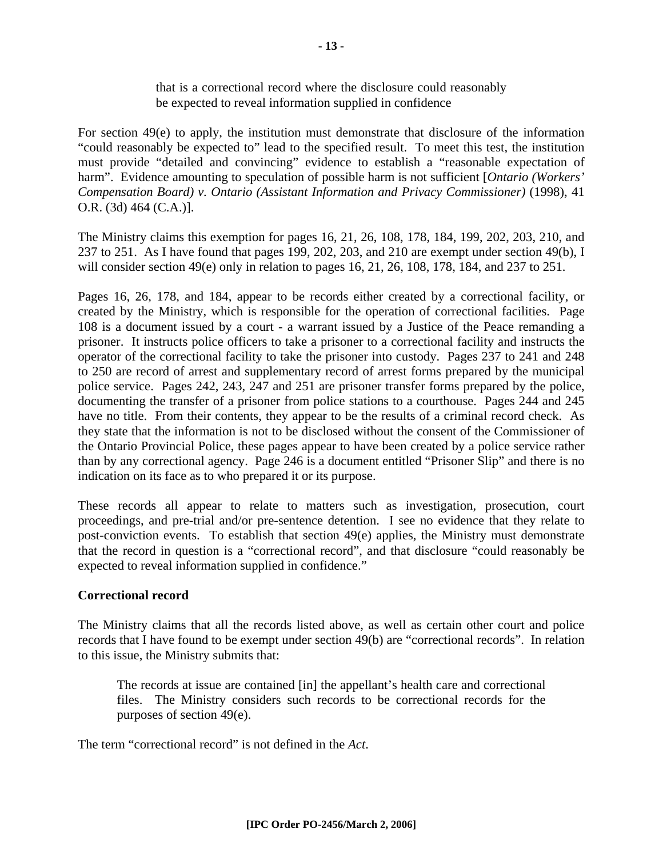For section 49(e) to apply, the institution must demonstrate that disclosure of the information "could reasonably be expected to" lead to the specified result. To meet this test, the institution must provide "detailed and convincing" evidence to establish a "reasonable expectation of harm". Evidence amounting to speculation of possible harm is not sufficient [*Ontario (Workers' Compensation Board) v. Ontario (Assistant Information and Privacy Commissioner)* (1998), 41 O.R. (3d) 464 (C.A.)].

The Ministry claims this exemption for pages 16, 21, 26, 108, 178, 184, 199, 202, 203, 210, and 237 to 251. As I have found that pages 199, 202, 203, and 210 are exempt under section 49(b), I will consider section 49(e) only in relation to pages 16, 21, 26, 108, 178, 184, and 237 to 251.

Pages 16, 26, 178, and 184, appear to be records either created by a correctional facility, or created by the Ministry, which is responsible for the operation of correctional facilities. Page 108 is a document issued by a court - a warrant issued by a Justice of the Peace remanding a prisoner. It instructs police officers to take a prisoner to a correctional facility and instructs the operator of the correctional facility to take the prisoner into custody. Pages 237 to 241 and 248 to 250 are record of arrest and supplementary record of arrest forms prepared by the municipal police service. Pages 242, 243, 247 and 251 are prisoner transfer forms prepared by the police, documenting the transfer of a prisoner from police stations to a courthouse. Pages 244 and 245 have no title. From their contents, they appear to be the results of a criminal record check. As they state that the information is not to be disclosed without the consent of the Commissioner of the Ontario Provincial Police, these pages appear to have been created by a police service rather than by any correctional agency. Page 246 is a document entitled "Prisoner Slip" and there is no indication on its face as to who prepared it or its purpose.

These records all appear to relate to matters such as investigation, prosecution, court proceedings, and pre-trial and/or pre-sentence detention. I see no evidence that they relate to post-conviction events. To establish that section 49(e) applies, the Ministry must demonstrate that the record in question is a "correctional record", and that disclosure "could reasonably be expected to reveal information supplied in confidence."

# **Correctional record**

The Ministry claims that all the records listed above, as well as certain other court and police records that I have found to be exempt under section 49(b) are "correctional records". In relation to this issue, the Ministry submits that:

The records at issue are contained [in] the appellant's health care and correctional files. The Ministry considers such records to be correctional records for the purposes of section 49(e).

The term "correctional record" is not defined in the *Act*.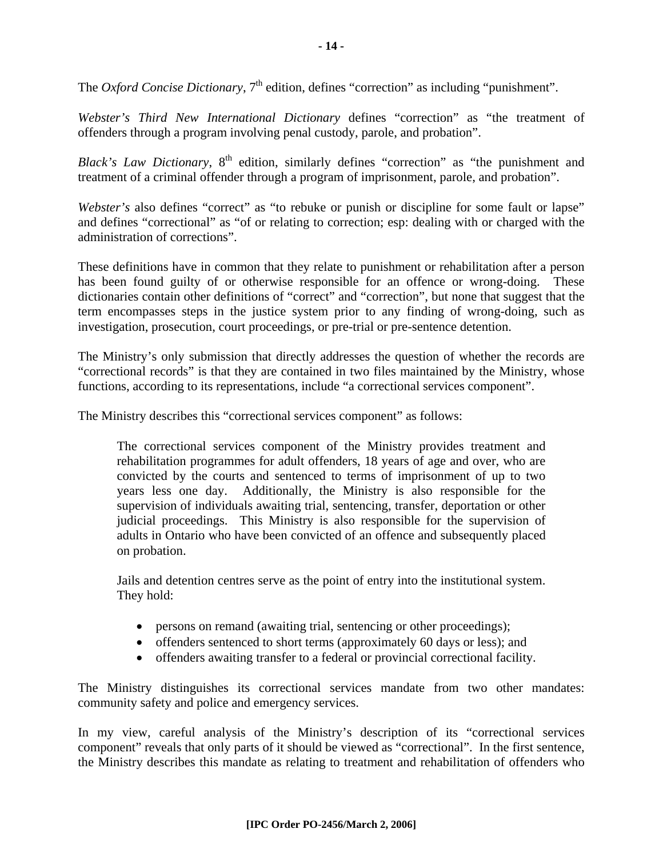The *Oxford Concise Dictionary*,  $7<sup>th</sup>$  edition, defines "correction" as including "punishment".

*Webster's Third New International Dictionary* defines "correction" as "the treatment of offenders through a program involving penal custody, parole, and probation".

*Black's Law Dictionary*, 8<sup>th</sup> edition, similarly defines "correction" as "the punishment and treatment of a criminal offender through a program of imprisonment, parole, and probation".

*Webster's* also defines "correct" as "to rebuke or punish or discipline for some fault or lapse" and defines "correctional" as "of or relating to correction; esp: dealing with or charged with the administration of corrections".

These definitions have in common that they relate to punishment or rehabilitation after a person has been found guilty of or otherwise responsible for an offence or wrong-doing. These dictionaries contain other definitions of "correct" and "correction", but none that suggest that the term encompasses steps in the justice system prior to any finding of wrong-doing, such as investigation, prosecution, court proceedings, or pre-trial or pre-sentence detention.

The Ministry's only submission that directly addresses the question of whether the records are "correctional records" is that they are contained in two files maintained by the Ministry, whose functions, according to its representations, include "a correctional services component".

The Ministry describes this "correctional services component" as follows:

The correctional services component of the Ministry provides treatment and rehabilitation programmes for adult offenders, 18 years of age and over, who are convicted by the courts and sentenced to terms of imprisonment of up to two years less one day. Additionally, the Ministry is also responsible for the supervision of individuals awaiting trial, sentencing, transfer, deportation or other judicial proceedings. This Ministry is also responsible for the supervision of adults in Ontario who have been convicted of an offence and subsequently placed on probation.

Jails and detention centres serve as the point of entry into the institutional system. They hold:

- persons on remand (awaiting trial, sentencing or other proceedings);
- offenders sentenced to short terms (approximately 60 days or less); and
- offenders awaiting transfer to a federal or provincial correctional facility.

The Ministry distinguishes its correctional services mandate from two other mandates: community safety and police and emergency services.

In my view, careful analysis of the Ministry's description of its "correctional services component" reveals that only parts of it should be viewed as "correctional". In the first sentence, the Ministry describes this mandate as relating to treatment and rehabilitation of offenders who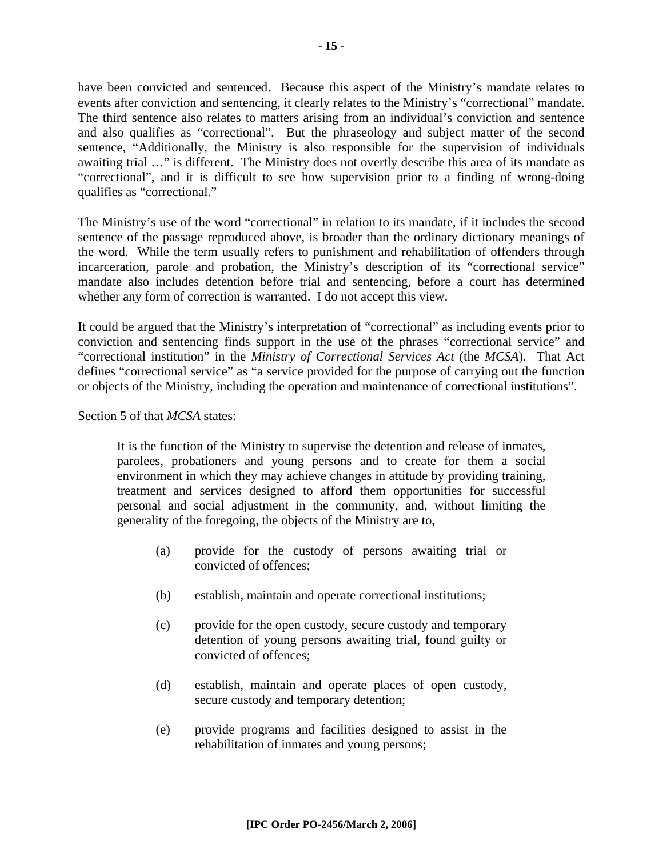have been convicted and sentenced. Because this aspect of the Ministry's mandate relates to events after conviction and sentencing, it clearly relates to the Ministry's "correctional" mandate. The third sentence also relates to matters arising from an individual's conviction and sentence and also qualifies as "correctional". But the phraseology and subject matter of the second sentence, "Additionally, the Ministry is also responsible for the supervision of individuals awaiting trial …" is different. The Ministry does not overtly describe this area of its mandate as "correctional", and it is difficult to see how supervision prior to a finding of wrong-doing qualifies as "correctional."

The Ministry's use of the word "correctional" in relation to its mandate, if it includes the second sentence of the passage reproduced above, is broader than the ordinary dictionary meanings of the word. While the term usually refers to punishment and rehabilitation of offenders through incarceration, parole and probation, the Ministry's description of its "correctional service" mandate also includes detention before trial and sentencing, before a court has determined whether any form of correction is warranted. I do not accept this view.

It could be argued that the Ministry's interpretation of "correctional" as including events prior to conviction and sentencing finds support in the use of the phrases "correctional service" and "correctional institution" in the *Ministry of Correctional Services Act* (the *MCSA*). That Act defines "correctional service" as "a service provided for the purpose of carrying out the function or objects of the Ministry, including the operation and maintenance of correctional institutions".

Section 5 of that *MCSA* states:

It is the function of the Ministry to supervise the detention and release of inmates, parolees, probationers and young persons and to create for them a social environment in which they may achieve changes in attitude by providing training, treatment and services designed to afford them opportunities for successful personal and social adjustment in the community, and, without limiting the generality of the foregoing, the objects of the Ministry are to,

- (a) provide for the custody of persons awaiting trial or convicted of offences;
- (b) establish, maintain and operate correctional institutions;
- (c) provide for the open custody, secure custody and temporary detention of young persons awaiting trial, found guilty or convicted of offences;
- (d) establish, maintain and operate places of open custody, secure custody and temporary detention;
- (e) provide programs and facilities designed to assist in the rehabilitation of inmates and young persons;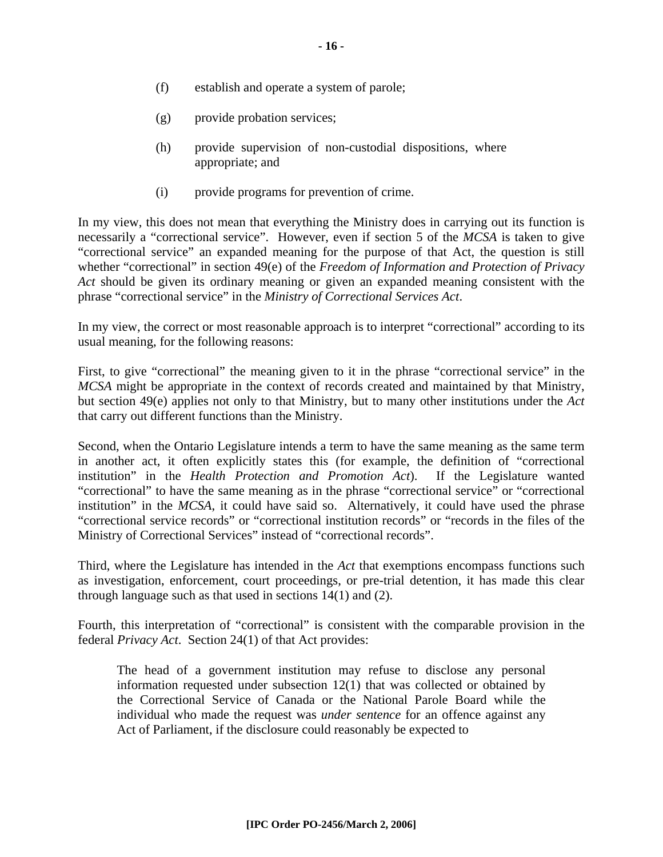- (f) establish and operate a system of parole;
- (g) provide probation services;
- (h) provide supervision of non-custodial dispositions, where appropriate; and
- (i) provide programs for prevention of crime.

In my view, this does not mean that everything the Ministry does in carrying out its function is necessarily a "correctional service". However, even if section 5 of the *MCSA* is taken to give "correctional service" an expanded meaning for the purpose of that Act, the question is still whether "correctional" in section 49(e) of the *Freedom of Information and Protection of Privacy Act* should be given its ordinary meaning or given an expanded meaning consistent with the phrase "correctional service" in the *Ministry of Correctional Services Act*.

In my view, the correct or most reasonable approach is to interpret "correctional" according to its usual meaning, for the following reasons:

First, to give "correctional" the meaning given to it in the phrase "correctional service" in the *MCSA* might be appropriate in the context of records created and maintained by that Ministry, but section 49(e) applies not only to that Ministry, but to many other institutions under the *Act*  that carry out different functions than the Ministry.

Second, when the Ontario Legislature intends a term to have the same meaning as the same term in another act, it often explicitly states this (for example, the definition of "correctional institution" in the *Health Protection and Promotion Act*). If the Legislature wanted "correctional" to have the same meaning as in the phrase "correctional service" or "correctional institution" in the *MCSA*, it could have said so. Alternatively, it could have used the phrase "correctional service records" or "correctional institution records" or "records in the files of the Ministry of Correctional Services" instead of "correctional records".

Third, where the Legislature has intended in the *Act* that exemptions encompass functions such as investigation, enforcement, court proceedings, or pre-trial detention, it has made this clear through language such as that used in sections 14(1) and (2).

Fourth, this interpretation of "correctional" is consistent with the comparable provision in the federal *Privacy Act*. Section 24(1) of that Act provides:

The head of a government institution may refuse to disclose any personal information requested under subsection 12(1) that was collected or obtained by the Correctional Service of Canada or the National Parole Board while the individual who made the request was *under sentence* for an offence against any Act of Parliament, if the disclosure could reasonably be expected to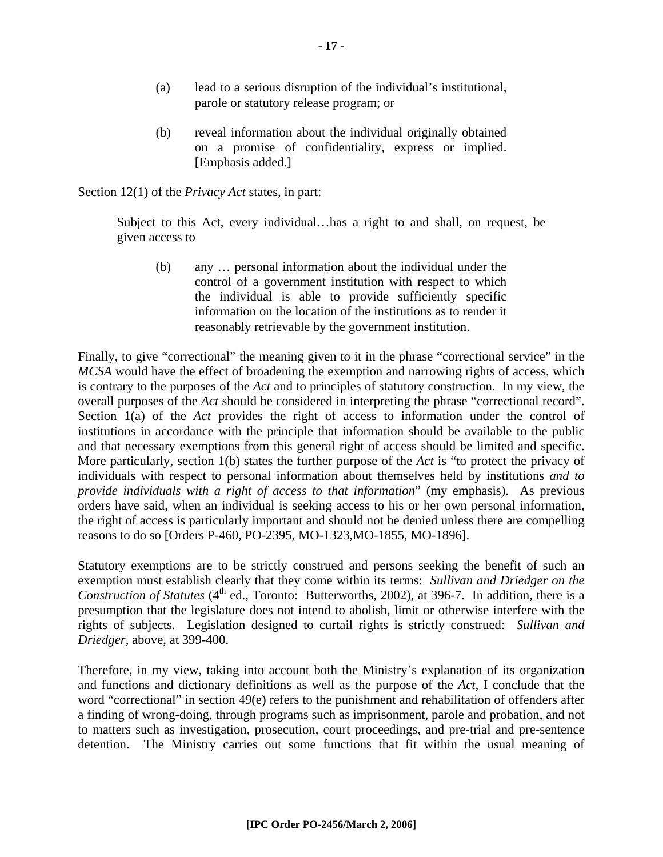- (a) lead to a serious disruption of the individual's institutional, parole or statutory release program; or
- (b) reveal information about the individual originally obtained on a promise of confidentiality, express or implied. [Emphasis added.]

Section 12(1) of the *Privacy Act* states, in part:

Subject to this Act, every individual…has a right to and shall, on request, be given access to

(b) any … personal information about the individual under the control of a government institution with respect to which the individual is able to provide sufficiently specific information on the location of the institutions as to render it reasonably retrievable by the government institution.

Finally, to give "correctional" the meaning given to it in the phrase "correctional service" in the *MCSA* would have the effect of broadening the exemption and narrowing rights of access, which is contrary to the purposes of the *Act* and to principles of statutory construction. In my view, the overall purposes of the *Act* should be considered in interpreting the phrase "correctional record". Section 1(a) of the *Act* provides the right of access to information under the control of institutions in accordance with the principle that information should be available to the public and that necessary exemptions from this general right of access should be limited and specific. More particularly, section 1(b) states the further purpose of the *Act* is "to protect the privacy of individuals with respect to personal information about themselves held by institutions *and to provide individuals with a right of access to that information*" (my emphasis). As previous orders have said, when an individual is seeking access to his or her own personal information, the right of access is particularly important and should not be denied unless there are compelling reasons to do so [Orders P-460, PO-2395, MO-1323,MO-1855, MO-1896].

Statutory exemptions are to be strictly construed and persons seeking the benefit of such an exemption must establish clearly that they come within its terms: *Sullivan and Driedger on the Construction of Statutes* (4<sup>th</sup> ed., Toronto: Butterworths, 2002), at 396-7. In addition, there is a presumption that the legislature does not intend to abolish, limit or otherwise interfere with the rights of subjects. Legislation designed to curtail rights is strictly construed: *Sullivan and Driedger*, above, at 399-400.

Therefore, in my view, taking into account both the Ministry's explanation of its organization and functions and dictionary definitions as well as the purpose of the *Act*, I conclude that the word "correctional" in section 49(e) refers to the punishment and rehabilitation of offenders after a finding of wrong-doing, through programs such as imprisonment, parole and probation, and not to matters such as investigation, prosecution, court proceedings, and pre-trial and pre-sentence detention. The Ministry carries out some functions that fit within the usual meaning of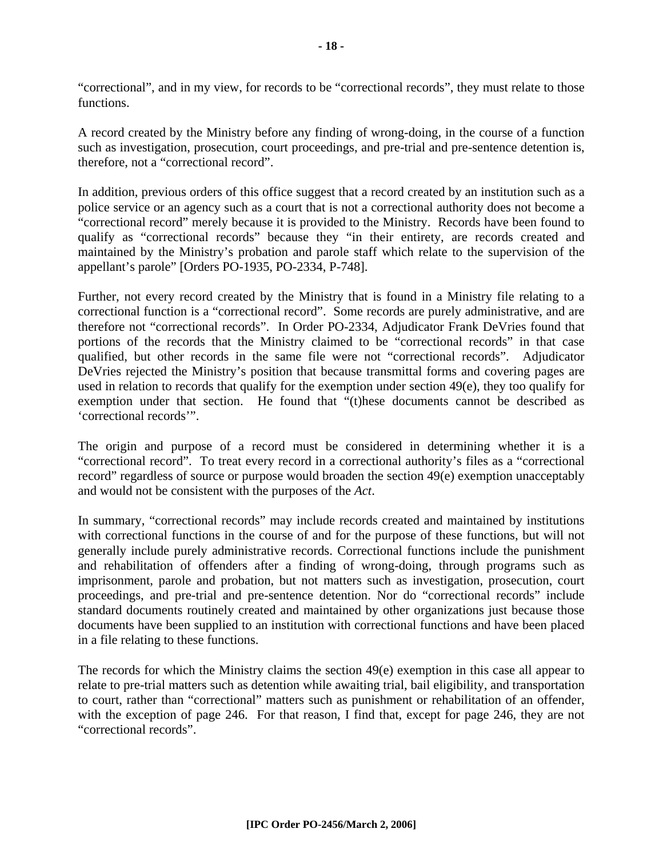"correctional", and in my view, for records to be "correctional records", they must relate to those functions.

A record created by the Ministry before any finding of wrong-doing, in the course of a function such as investigation, prosecution, court proceedings, and pre-trial and pre-sentence detention is, therefore, not a "correctional record".

In addition, previous orders of this office suggest that a record created by an institution such as a police service or an agency such as a court that is not a correctional authority does not become a "correctional record" merely because it is provided to the Ministry. Records have been found to qualify as "correctional records" because they "in their entirety, are records created and maintained by the Ministry's probation and parole staff which relate to the supervision of the appellant's parole" [Orders PO-1935, PO-2334, P-748].

Further, not every record created by the Ministry that is found in a Ministry file relating to a correctional function is a "correctional record". Some records are purely administrative, and are therefore not "correctional records". In Order PO-2334, Adjudicator Frank DeVries found that portions of the records that the Ministry claimed to be "correctional records" in that case qualified, but other records in the same file were not "correctional records". Adjudicator DeVries rejected the Ministry's position that because transmittal forms and covering pages are used in relation to records that qualify for the exemption under section 49(e), they too qualify for exemption under that section. He found that "(t)hese documents cannot be described as 'correctional records'".

The origin and purpose of a record must be considered in determining whether it is a "correctional record". To treat every record in a correctional authority's files as a "correctional record" regardless of source or purpose would broaden the section 49(e) exemption unacceptably and would not be consistent with the purposes of the *Act*.

In summary, "correctional records" may include records created and maintained by institutions with correctional functions in the course of and for the purpose of these functions, but will not generally include purely administrative records. Correctional functions include the punishment and rehabilitation of offenders after a finding of wrong-doing, through programs such as imprisonment, parole and probation, but not matters such as investigation, prosecution, court proceedings, and pre-trial and pre-sentence detention. Nor do "correctional records" include standard documents routinely created and maintained by other organizations just because those documents have been supplied to an institution with correctional functions and have been placed in a file relating to these functions.

The records for which the Ministry claims the section 49(e) exemption in this case all appear to relate to pre-trial matters such as detention while awaiting trial, bail eligibility, and transportation to court, rather than "correctional" matters such as punishment or rehabilitation of an offender, with the exception of page 246. For that reason, I find that, except for page 246, they are not "correctional records".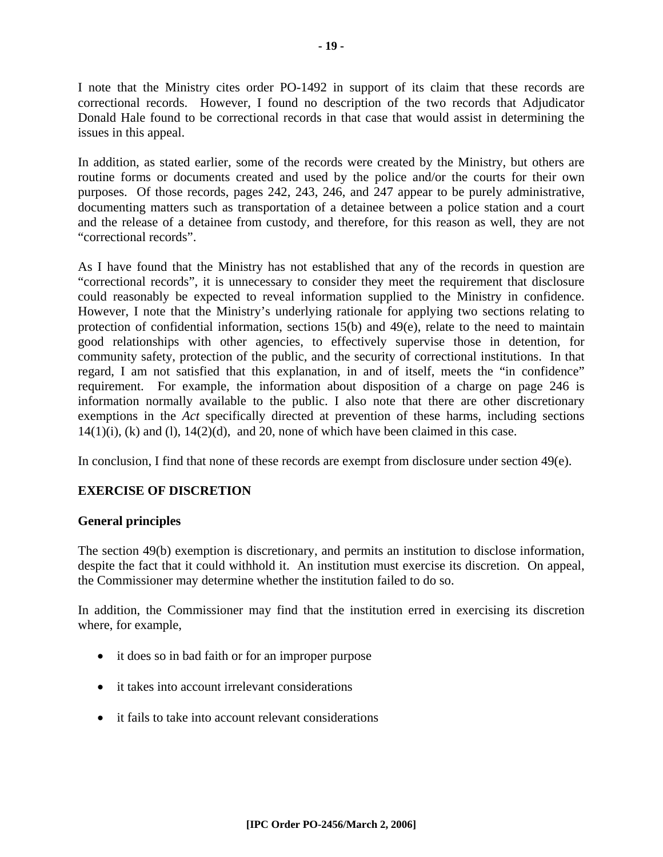I note that the Ministry cites order PO-1492 in support of its claim that these records are correctional records. However, I found no description of the two records that Adjudicator Donald Hale found to be correctional records in that case that would assist in determining the issues in this appeal.

In addition, as stated earlier, some of the records were created by the Ministry, but others are routine forms or documents created and used by the police and/or the courts for their own purposes. Of those records, pages 242, 243, 246, and 247 appear to be purely administrative, documenting matters such as transportation of a detainee between a police station and a court and the release of a detainee from custody, and therefore, for this reason as well, they are not "correctional records".

As I have found that the Ministry has not established that any of the records in question are "correctional records", it is unnecessary to consider they meet the requirement that disclosure could reasonably be expected to reveal information supplied to the Ministry in confidence. However, I note that the Ministry's underlying rationale for applying two sections relating to protection of confidential information, sections 15(b) and 49(e), relate to the need to maintain good relationships with other agencies, to effectively supervise those in detention, for community safety, protection of the public, and the security of correctional institutions. In that regard, I am not satisfied that this explanation, in and of itself, meets the "in confidence" requirement. For example, the information about disposition of a charge on page 246 is information normally available to the public. I also note that there are other discretionary exemptions in the *Act* specifically directed at prevention of these harms, including sections  $14(1)(i)$ , (k) and (l),  $14(2)(d)$ , and 20, none of which have been claimed in this case.

In conclusion, I find that none of these records are exempt from disclosure under section  $49(e)$ .

#### **EXERCISE OF DISCRETION**

#### **General principles**

The section 49(b) exemption is discretionary, and permits an institution to disclose information, despite the fact that it could withhold it. An institution must exercise its discretion. On appeal, the Commissioner may determine whether the institution failed to do so.

In addition, the Commissioner may find that the institution erred in exercising its discretion where, for example,

- it does so in bad faith or for an improper purpose
- it takes into account irrelevant considerations
- it fails to take into account relevant considerations